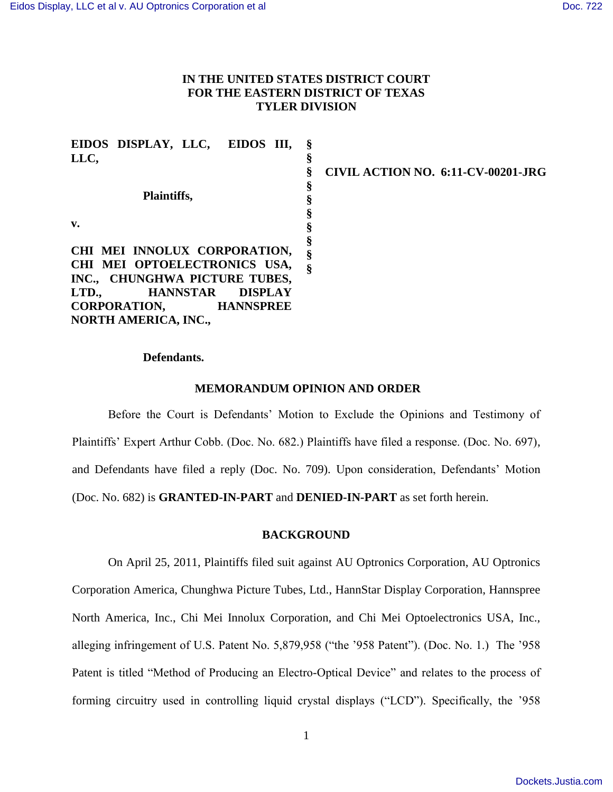# **IN THE UNITED STATES DISTRICT COURT FOR THE EASTERN DISTRICT OF TEXAS TYLER DIVISION**

| EIDOS DISPLAY, LLC, EIDOS III,             |   |                                           |
|--------------------------------------------|---|-------------------------------------------|
| LLC,                                       |   |                                           |
|                                            |   | <b>CIVIL ACTION NO. 6:11-CV-00201-JRG</b> |
|                                            | э |                                           |
| Plaintiffs,                                |   |                                           |
|                                            |   |                                           |
| v.                                         |   |                                           |
|                                            |   |                                           |
| CHI MEI INNOLUX CORPORATION,               |   |                                           |
| CHI MEI OPTOELECTRONICS USA,               |   |                                           |
| INC., CHUNGHWA PICTURE TUBES,              |   |                                           |
| LTD.,<br><b>HANNSTAR</b><br><b>DISPLAY</b> |   |                                           |
| <b>CORPORATION,</b><br><b>HANNSPREE</b>    |   |                                           |
| <b>NORTH AMERICA, INC.,</b>                |   |                                           |

## **Defendants.**

## **MEMORANDUM OPINION AND ORDER**

Before the Court is Defendants' Motion to Exclude the Opinions and Testimony of Plaintiffs' Expert Arthur Cobb. (Doc. No. 682.) Plaintiffs have filed a response. (Doc. No. 697), and Defendants have filed a reply (Doc. No. 709). Upon consideration, Defendants' Motion (Doc. No. 682) is **GRANTED-IN-PART** and **DENIED-IN-PART** as set forth herein.

## **BACKGROUND**

On April 25, 2011, Plaintiffs filed suit against AU Optronics Corporation, AU Optronics Corporation America, Chunghwa Picture Tubes, Ltd., HannStar Display Corporation, Hannspree North America, Inc., Chi Mei Innolux Corporation, and Chi Mei Optoelectronics USA, Inc., alleging infringement of U.S. Patent No. 5,879,958 ("the '958 Patent"). (Doc. No. 1.) The '958 Patent is titled "Method of Producing an Electro-Optical Device" and relates to the process of forming circuitry used in controlling liquid crystal displays ("LCD"). Specifically, the '958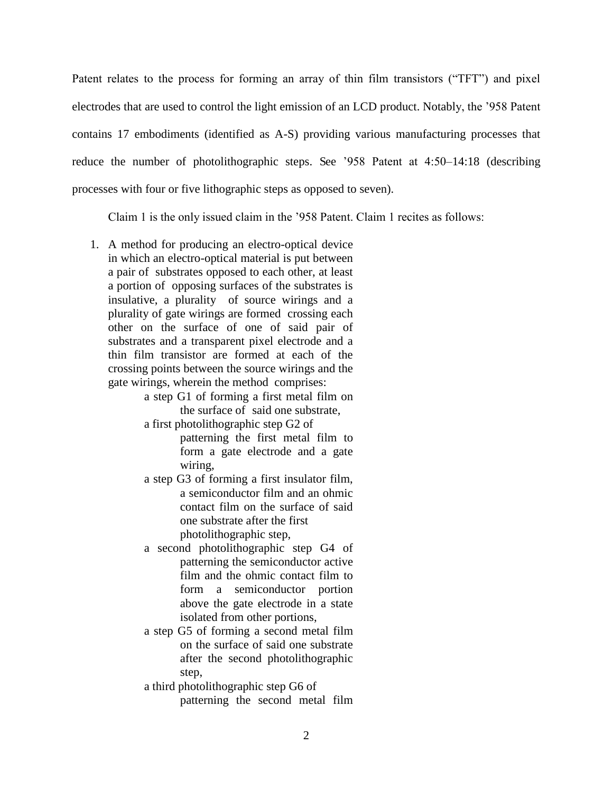Patent relates to the process for forming an array of thin film transistors ("TFT") and pixel electrodes that are used to control the light emission of an LCD product. Notably, the '958 Patent contains 17 embodiments (identified as A-S) providing various manufacturing processes that reduce the number of photolithographic steps. See '958 Patent at 4:50–14:18 (describing processes with four or five lithographic steps as opposed to seven).

Claim 1 is the only issued claim in the '958 Patent. Claim 1 recites as follows:

1. A method for producing an electro-optical device in which an electro-optical material is put between a pair of substrates opposed to each other, at least a portion of opposing surfaces of the substrates is insulative, a plurality of source wirings and a plurality of gate wirings are formed crossing each other on the surface of one of said pair of substrates and a transparent pixel electrode and a thin film transistor are formed at each of the crossing points between the source wirings and the gate wirings, wherein the method comprises:

> a step G1 of forming a first metal film on the surface of said one substrate,

> a first photolithographic step G2 of patterning the first metal film to

form a gate electrode and a gate wiring,

- a step G3 of forming a first insulator film, a semiconductor film and an ohmic contact film on the surface of said one substrate after the first photolithographic step,
- a second photolithographic step G4 of patterning the semiconductor active film and the ohmic contact film to form a semiconductor portion above the gate electrode in a state isolated from other portions,
- a step G5 of forming a second metal film on the surface of said one substrate after the second photolithographic step,

a third photolithographic step G6 of patterning the second metal film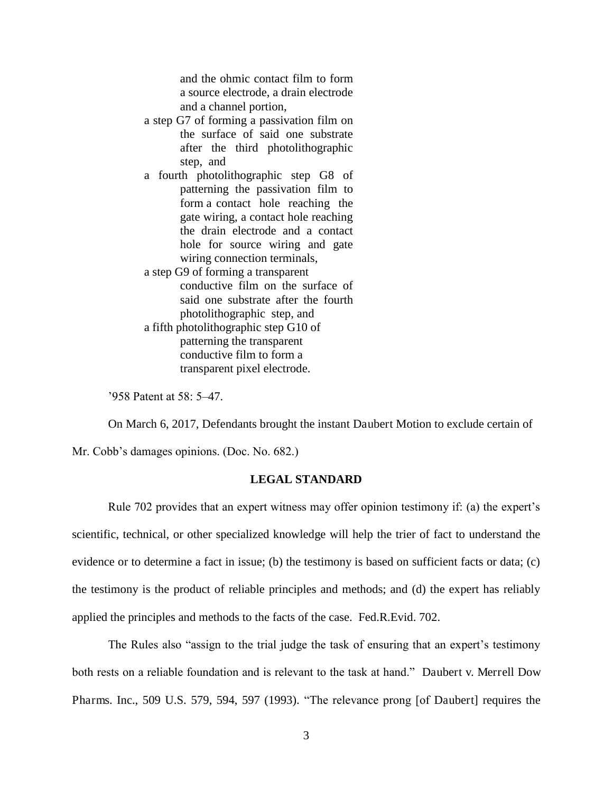and the ohmic contact film to form a source electrode, a drain electrode and a channel portion,

- a step G7 of forming a passivation film on the surface of said one substrate after the third photolithographic step, and
- a fourth photolithographic step G8 of patterning the passivation film to form a contact hole reaching the gate wiring, a contact hole reaching the drain electrode and a contact hole for source wiring and gate wiring connection terminals,
- a step G9 of forming a transparent conductive film on the surface of said one substrate after the fourth photolithographic step, and
- a fifth photolithographic step G10 of patterning the transparent conductive film to form a transparent pixel electrode.

'958 Patent at 58: 5–47.

On March 6, 2017, Defendants brought the instant Daubert Motion to exclude certain of

Mr. Cobb's damages opinions. (Doc. No. 682.)

## **LEGAL STANDARD**

Rule 702 provides that an expert witness may offer opinion testimony if: (a) the expert's scientific, technical, or other specialized knowledge will help the trier of fact to understand the evidence or to determine a fact in issue; (b) the testimony is based on sufficient facts or data; (c) the testimony is the product of reliable principles and methods; and (d) the expert has reliably applied the principles and methods to the facts of the case. Fed.R.Evid. 702.

The Rules also "assign to the trial judge the task of ensuring that an expert's testimony both rests on a reliable foundation and is relevant to the task at hand." Daubert v. Merrell Dow Pharms. Inc., 509 U.S. 579, 594, 597 (1993). "The relevance prong [of Daubert] requires the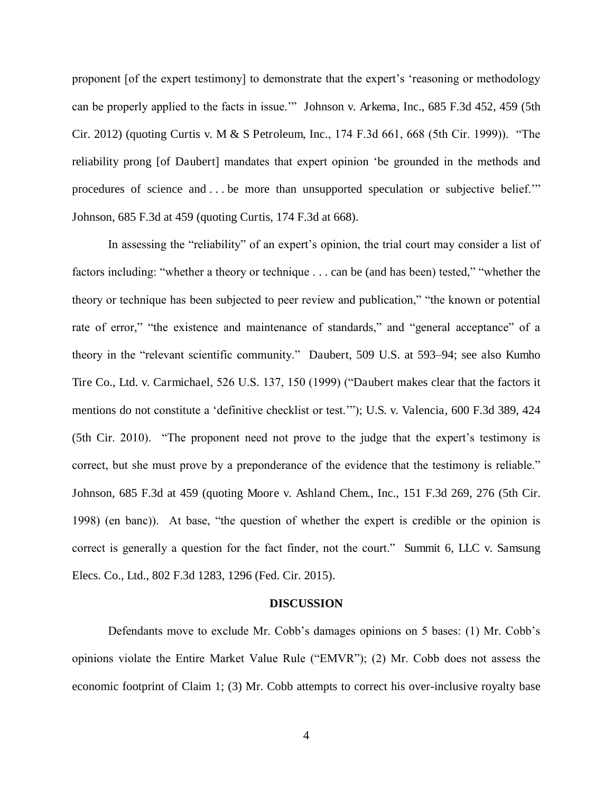proponent [of the expert testimony] to demonstrate that the expert's 'reasoning or methodology can be properly applied to the facts in issue.'" Johnson v. Arkema, Inc., 685 F.3d 452, 459 (5th Cir. 2012) (quoting Curtis v. M & S Petroleum, Inc., 174 F.3d 661, 668 (5th Cir. 1999)). "The reliability prong [of Daubert] mandates that expert opinion 'be grounded in the methods and procedures of science and . . . be more than unsupported speculation or subjective belief.'" Johnson, 685 F.3d at 459 (quoting Curtis, 174 F.3d at 668).

In assessing the "reliability" of an expert's opinion, the trial court may consider a list of factors including: "whether a theory or technique . . . can be (and has been) tested," "whether the theory or technique has been subjected to peer review and publication," "the known or potential rate of error," "the existence and maintenance of standards," and "general acceptance" of a theory in the "relevant scientific community." Daubert, 509 U.S. at 593–94; see also Kumho Tire Co., Ltd. v. Carmichael, 526 U.S. 137, 150 (1999) ("Daubert makes clear that the factors it mentions do not constitute a 'definitive checklist or test.'"); U.S. v. Valencia, 600 F.3d 389, 424 (5th Cir. 2010). "The proponent need not prove to the judge that the expert's testimony is correct, but she must prove by a preponderance of the evidence that the testimony is reliable." Johnson, 685 F.3d at 459 (quoting Moore v. Ashland Chem., Inc., 151 F.3d 269, 276 (5th Cir. 1998) (en banc)). At base, "the question of whether the expert is credible or the opinion is correct is generally a question for the fact finder, not the court." Summit 6, LLC v. Samsung Elecs. Co., Ltd., 802 F.3d 1283, 1296 (Fed. Cir. 2015).

#### **DISCUSSION**

Defendants move to exclude Mr. Cobb's damages opinions on 5 bases: (1) Mr. Cobb's opinions violate the Entire Market Value Rule ("EMVR"); (2) Mr. Cobb does not assess the economic footprint of Claim 1; (3) Mr. Cobb attempts to correct his over-inclusive royalty base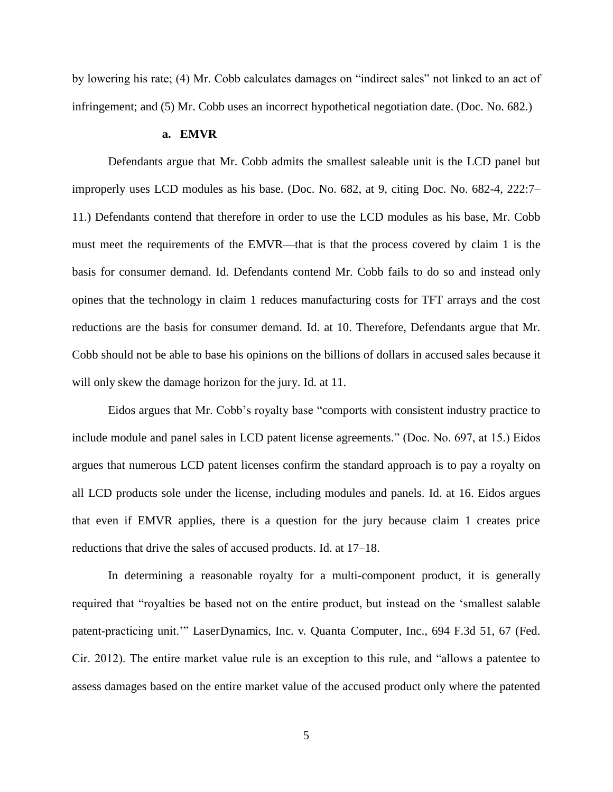by lowering his rate; (4) Mr. Cobb calculates damages on "indirect sales" not linked to an act of infringement; and (5) Mr. Cobb uses an incorrect hypothetical negotiation date. (Doc. No. 682.)

#### **a. EMVR**

Defendants argue that Mr. Cobb admits the smallest saleable unit is the LCD panel but improperly uses LCD modules as his base. (Doc. No. 682, at 9, citing Doc. No. 682-4, 222:7– 11.) Defendants contend that therefore in order to use the LCD modules as his base, Mr. Cobb must meet the requirements of the EMVR—that is that the process covered by claim 1 is the basis for consumer demand. Id. Defendants contend Mr. Cobb fails to do so and instead only opines that the technology in claim 1 reduces manufacturing costs for TFT arrays and the cost reductions are the basis for consumer demand. Id. at 10. Therefore, Defendants argue that Mr. Cobb should not be able to base his opinions on the billions of dollars in accused sales because it will only skew the damage horizon for the jury. Id. at 11.

Eidos argues that Mr. Cobb's royalty base "comports with consistent industry practice to include module and panel sales in LCD patent license agreements." (Doc. No. 697, at 15.) Eidos argues that numerous LCD patent licenses confirm the standard approach is to pay a royalty on all LCD products sole under the license, including modules and panels. Id. at 16. Eidos argues that even if EMVR applies, there is a question for the jury because claim 1 creates price reductions that drive the sales of accused products. Id. at 17–18.

In determining a reasonable royalty for a multi-component product, it is generally required that "royalties be based not on the entire product, but instead on the 'smallest salable patent-practicing unit.'" LaserDynamics, Inc. v. Quanta Computer, Inc., 694 F.3d 51, 67 (Fed. Cir. 2012). The entire market value rule is an exception to this rule, and "allows a patentee to assess damages based on the entire market value of the accused product only where the patented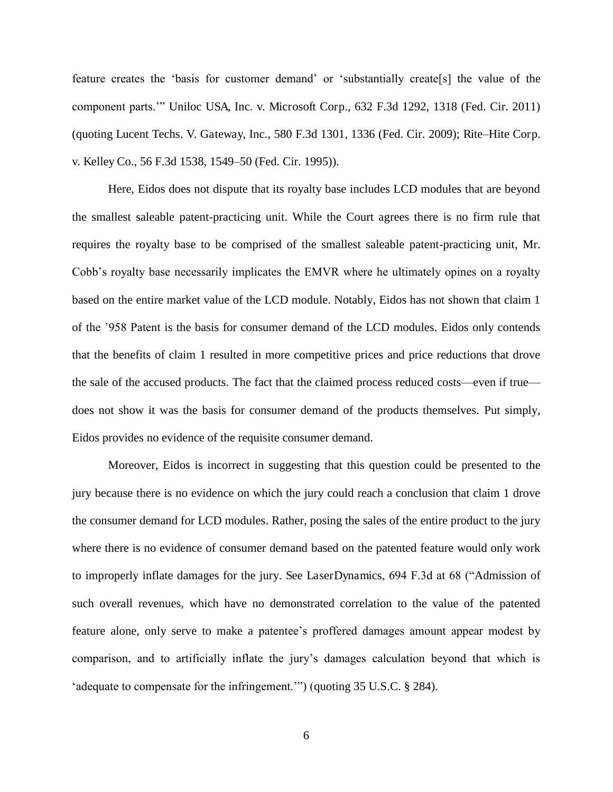feature creates the 'basis for customer demand' or 'substantially create[s] the value of the component parts.'" Uniloc USA, Inc. v. Microsoft Corp., 632 F.3d 1292, 1318 (Fed. Cir. 2011) (quoting Lucent Techs. V. Gateway, Inc., 580 F.3d 1301, 1336 (Fed. Cir. 2009); Rite*–*Hite Corp. v. Kelley Co., 56 F.3d 1538, 1549–50 (Fed. Cir. 1995)).

Here, Eidos does not dispute that its royalty base includes LCD modules that are beyond the smallest saleable patent-practicing unit. While the Court agrees there is no firm rule that requires the royalty base to be comprised of the smallest saleable patent-practicing unit, Mr. Cobb's royalty base necessarily implicates the EMVR where he ultimately opines on a royalty based on the entire market value of the LCD module. Notably, Eidos has not shown that claim 1 of the '958 Patent is the basis for consumer demand of the LCD modules. Eidos only contends that the benefits of claim 1 resulted in more competitive prices and price reductions that drove the sale of the accused products. The fact that the claimed process reduced costs—even if true does not show it was the basis for consumer demand of the products themselves. Put simply, Eidos provides no evidence of the requisite consumer demand.

Moreover, Eidos is incorrect in suggesting that this question could be presented to the jury because there is no evidence on which the jury could reach a conclusion that claim 1 drove the consumer demand for LCD modules. Rather, posing the sales of the entire product to the jury where there is no evidence of consumer demand based on the patented feature would only work to improperly inflate damages for the jury. See LaserDynamics, 694 F.3d at 68 ("Admission of such overall revenues, which have no demonstrated correlation to the value of the patented feature alone, only serve to make a patentee's proffered damages amount appear modest by comparison, and to artificially inflate the jury's damages calculation beyond that which is 'adequate to compensate for the infringement.'") (quoting 35 U.S.C. § 284).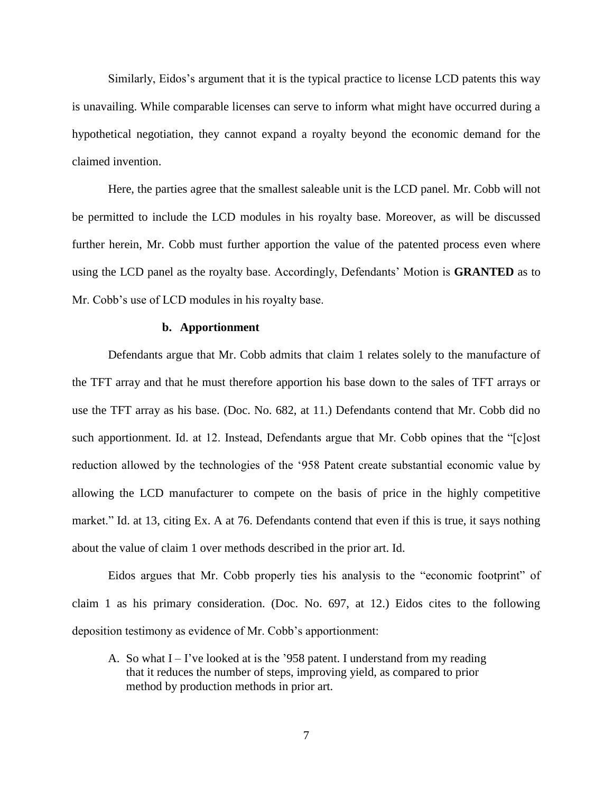Similarly, Eidos's argument that it is the typical practice to license LCD patents this way is unavailing. While comparable licenses can serve to inform what might have occurred during a hypothetical negotiation, they cannot expand a royalty beyond the economic demand for the claimed invention.

Here, the parties agree that the smallest saleable unit is the LCD panel. Mr. Cobb will not be permitted to include the LCD modules in his royalty base. Moreover, as will be discussed further herein, Mr. Cobb must further apportion the value of the patented process even where using the LCD panel as the royalty base. Accordingly, Defendants' Motion is **GRANTED** as to Mr. Cobb's use of LCD modules in his royalty base.

## **b. Apportionment**

Defendants argue that Mr. Cobb admits that claim 1 relates solely to the manufacture of the TFT array and that he must therefore apportion his base down to the sales of TFT arrays or use the TFT array as his base. (Doc. No. 682, at 11.) Defendants contend that Mr. Cobb did no such apportionment. Id. at 12. Instead, Defendants argue that Mr. Cobb opines that the "[c]ost reduction allowed by the technologies of the '958 Patent create substantial economic value by allowing the LCD manufacturer to compete on the basis of price in the highly competitive market." Id. at 13, citing Ex. A at 76. Defendants contend that even if this is true, it says nothing about the value of claim 1 over methods described in the prior art. Id.

Eidos argues that Mr. Cobb properly ties his analysis to the "economic footprint" of claim 1 as his primary consideration. (Doc. No. 697, at 12.) Eidos cites to the following deposition testimony as evidence of Mr. Cobb's apportionment:

A. So what  $I - I'$  ve looked at is the '958 patent. I understand from my reading that it reduces the number of steps, improving yield, as compared to prior method by production methods in prior art.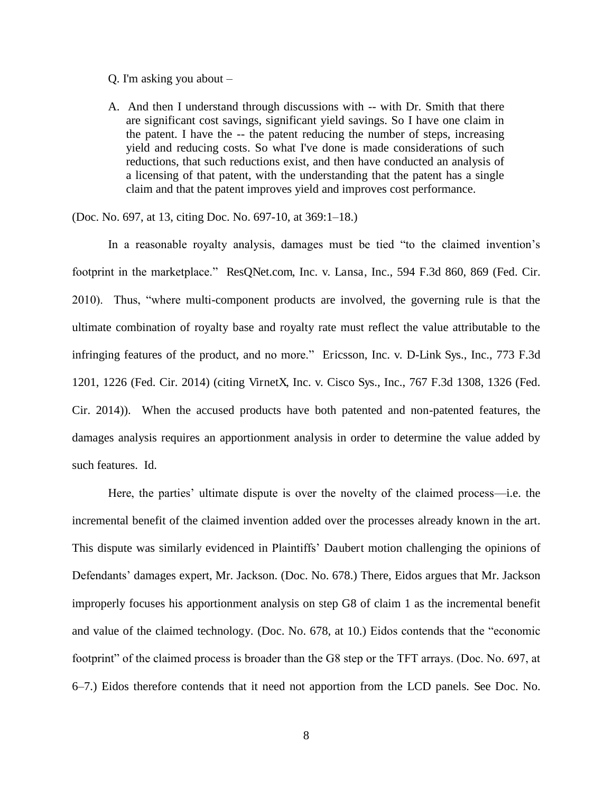#### Q. I'm asking you about –

A. And then I understand through discussions with -- with Dr. Smith that there are significant cost savings, significant yield savings. So I have one claim in the patent. I have the -- the patent reducing the number of steps, increasing yield and reducing costs. So what I've done is made considerations of such reductions, that such reductions exist, and then have conducted an analysis of a licensing of that patent, with the understanding that the patent has a single claim and that the patent improves yield and improves cost performance.

(Doc. No. 697, at 13, citing Doc. No. 697-10, at 369:1–18.)

In a reasonable royalty analysis, damages must be tied "to the claimed invention's footprint in the marketplace." ResQNet.com, Inc. v. Lansa, Inc., 594 F.3d 860, 869 (Fed. Cir. 2010). Thus, "where multi-component products are involved, the governing rule is that the ultimate combination of royalty base and royalty rate must reflect the value attributable to the infringing features of the product, and no more." Ericsson, Inc. v. D-Link Sys., Inc., 773 F.3d 1201, 1226 (Fed. Cir. 2014) (citing VirnetX, Inc. v. Cisco Sys., Inc., 767 F.3d 1308, 1326 (Fed. Cir. 2014)). When the accused products have both patented and non-patented features, the damages analysis requires an apportionment analysis in order to determine the value added by such features. Id.

Here, the parties' ultimate dispute is over the novelty of the claimed process—i.e. the incremental benefit of the claimed invention added over the processes already known in the art. This dispute was similarly evidenced in Plaintiffs' Daubert motion challenging the opinions of Defendants' damages expert, Mr. Jackson. (Doc. No. 678.) There, Eidos argues that Mr. Jackson improperly focuses his apportionment analysis on step G8 of claim 1 as the incremental benefit and value of the claimed technology. (Doc. No. 678, at 10.) Eidos contends that the "economic footprint" of the claimed process is broader than the G8 step or the TFT arrays. (Doc. No. 697, at 6–7.) Eidos therefore contends that it need not apportion from the LCD panels. See Doc. No.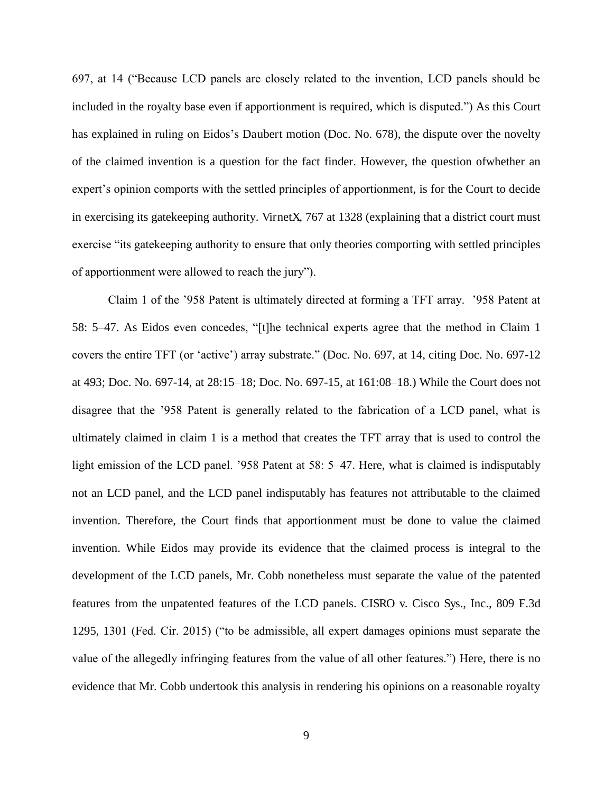697, at 14 ("Because LCD panels are closely related to the invention, LCD panels should be included in the royalty base even if apportionment is required, which is disputed.") As this Court has explained in ruling on Eidos's Daubert motion (Doc. No. 678), the dispute over the novelty of the claimed invention is a question for the fact finder. However, the question ofwhether an expert's opinion comports with the settled principles of apportionment, is for the Court to decide in exercising its gatekeeping authority. VirnetX, 767 at 1328 (explaining that a district court must exercise "its gatekeeping authority to ensure that only theories comporting with settled principles of apportionment were allowed to reach the jury").

Claim 1 of the '958 Patent is ultimately directed at forming a TFT array. '958 Patent at 58: 5–47. As Eidos even concedes, "[t]he technical experts agree that the method in Claim 1 covers the entire TFT (or 'active') array substrate." (Doc. No. 697, at 14, citing Doc. No. 697-12 at 493; Doc. No. 697-14, at 28:15–18; Doc. No. 697-15, at 161:08–18.) While the Court does not disagree that the '958 Patent is generally related to the fabrication of a LCD panel, what is ultimately claimed in claim 1 is a method that creates the TFT array that is used to control the light emission of the LCD panel. '958 Patent at 58: 5–47. Here, what is claimed is indisputably not an LCD panel, and the LCD panel indisputably has features not attributable to the claimed invention. Therefore, the Court finds that apportionment must be done to value the claimed invention. While Eidos may provide its evidence that the claimed process is integral to the development of the LCD panels, Mr. Cobb nonetheless must separate the value of the patented features from the unpatented features of the LCD panels. CISRO v. Cisco Sys., Inc., 809 F.3d 1295, 1301 (Fed. Cir. 2015) ("to be admissible, all expert damages opinions must separate the value of the allegedly infringing features from the value of all other features.") Here, there is no evidence that Mr. Cobb undertook this analysis in rendering his opinions on a reasonable royalty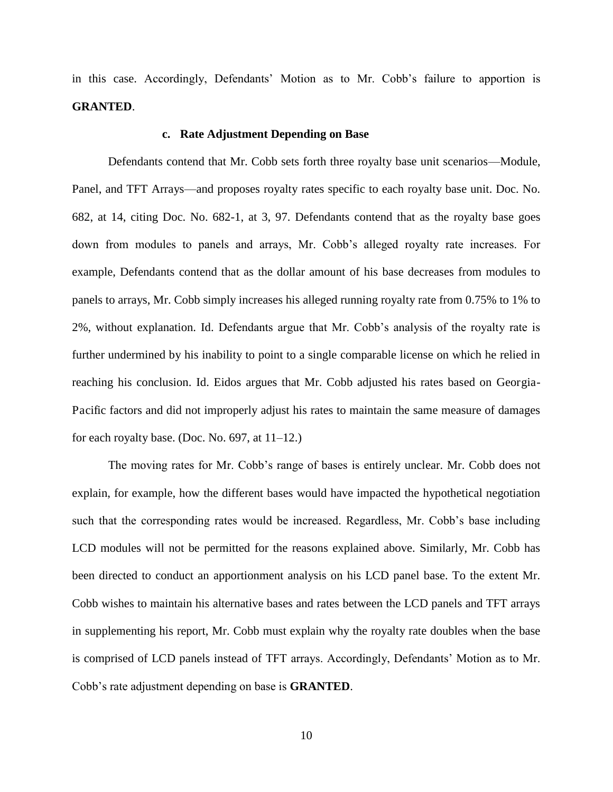in this case. Accordingly, Defendants' Motion as to Mr. Cobb's failure to apportion is **GRANTED**.

## **c. Rate Adjustment Depending on Base**

Defendants contend that Mr. Cobb sets forth three royalty base unit scenarios—Module, Panel, and TFT Arrays—and proposes royalty rates specific to each royalty base unit. Doc. No. 682, at 14, citing Doc. No. 682-1, at 3, 97. Defendants contend that as the royalty base goes down from modules to panels and arrays, Mr. Cobb's alleged royalty rate increases. For example, Defendants contend that as the dollar amount of his base decreases from modules to panels to arrays, Mr. Cobb simply increases his alleged running royalty rate from 0.75% to 1% to 2%, without explanation. Id. Defendants argue that Mr. Cobb's analysis of the royalty rate is further undermined by his inability to point to a single comparable license on which he relied in reaching his conclusion. Id. Eidos argues that Mr. Cobb adjusted his rates based on Georgia-Pacific factors and did not improperly adjust his rates to maintain the same measure of damages for each royalty base. (Doc. No. 697, at 11–12.)

The moving rates for Mr. Cobb's range of bases is entirely unclear. Mr. Cobb does not explain, for example, how the different bases would have impacted the hypothetical negotiation such that the corresponding rates would be increased. Regardless, Mr. Cobb's base including LCD modules will not be permitted for the reasons explained above. Similarly, Mr. Cobb has been directed to conduct an apportionment analysis on his LCD panel base. To the extent Mr. Cobb wishes to maintain his alternative bases and rates between the LCD panels and TFT arrays in supplementing his report, Mr. Cobb must explain why the royalty rate doubles when the base is comprised of LCD panels instead of TFT arrays. Accordingly, Defendants' Motion as to Mr. Cobb's rate adjustment depending on base is **GRANTED**.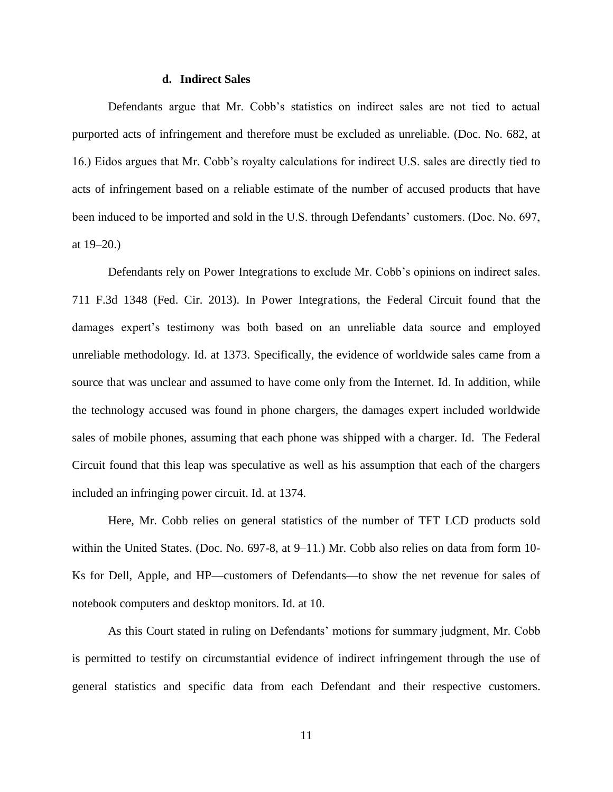#### **d. Indirect Sales**

Defendants argue that Mr. Cobb's statistics on indirect sales are not tied to actual purported acts of infringement and therefore must be excluded as unreliable. (Doc. No. 682, at 16.) Eidos argues that Mr. Cobb's royalty calculations for indirect U.S. sales are directly tied to acts of infringement based on a reliable estimate of the number of accused products that have been induced to be imported and sold in the U.S. through Defendants' customers. (Doc. No. 697, at 19–20.)

Defendants rely on Power Integrations to exclude Mr. Cobb's opinions on indirect sales. 711 F.3d 1348 (Fed. Cir. 2013). In Power Integrations, the Federal Circuit found that the damages expert's testimony was both based on an unreliable data source and employed unreliable methodology. Id. at 1373. Specifically, the evidence of worldwide sales came from a source that was unclear and assumed to have come only from the Internet. Id. In addition, while the technology accused was found in phone chargers, the damages expert included worldwide sales of mobile phones, assuming that each phone was shipped with a charger. Id. The Federal Circuit found that this leap was speculative as well as his assumption that each of the chargers included an infringing power circuit. Id. at 1374.

Here, Mr. Cobb relies on general statistics of the number of TFT LCD products sold within the United States. (Doc. No. 697-8, at 9–11.) Mr. Cobb also relies on data from form 10-Ks for Dell, Apple, and HP—customers of Defendants—to show the net revenue for sales of notebook computers and desktop monitors. Id. at 10.

As this Court stated in ruling on Defendants' motions for summary judgment, Mr. Cobb is permitted to testify on circumstantial evidence of indirect infringement through the use of general statistics and specific data from each Defendant and their respective customers.

11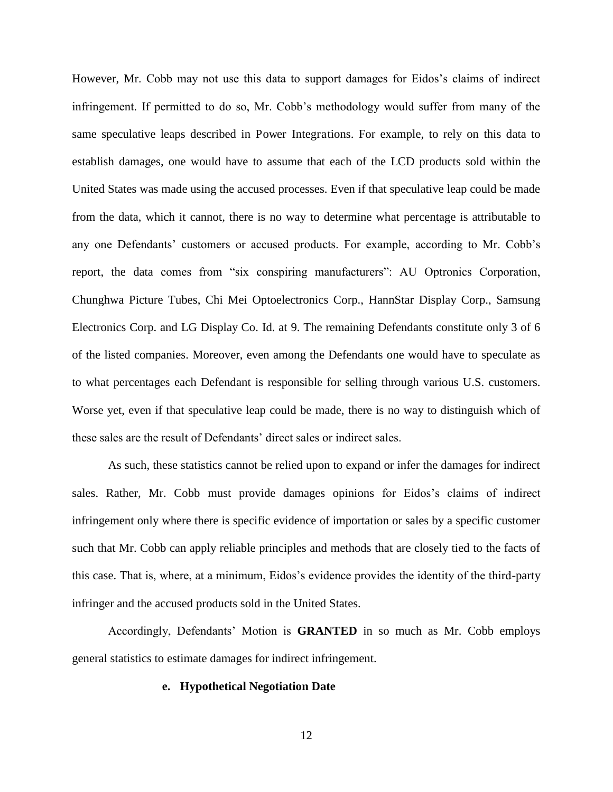However, Mr. Cobb may not use this data to support damages for Eidos's claims of indirect infringement. If permitted to do so, Mr. Cobb's methodology would suffer from many of the same speculative leaps described in Power Integrations. For example, to rely on this data to establish damages, one would have to assume that each of the LCD products sold within the United States was made using the accused processes. Even if that speculative leap could be made from the data, which it cannot, there is no way to determine what percentage is attributable to any one Defendants' customers or accused products. For example, according to Mr. Cobb's report, the data comes from "six conspiring manufacturers": AU Optronics Corporation, Chunghwa Picture Tubes, Chi Mei Optoelectronics Corp., HannStar Display Corp., Samsung Electronics Corp. and LG Display Co. Id. at 9. The remaining Defendants constitute only 3 of 6 of the listed companies. Moreover, even among the Defendants one would have to speculate as to what percentages each Defendant is responsible for selling through various U.S. customers. Worse yet, even if that speculative leap could be made, there is no way to distinguish which of these sales are the result of Defendants' direct sales or indirect sales.

As such, these statistics cannot be relied upon to expand or infer the damages for indirect sales. Rather, Mr. Cobb must provide damages opinions for Eidos's claims of indirect infringement only where there is specific evidence of importation or sales by a specific customer such that Mr. Cobb can apply reliable principles and methods that are closely tied to the facts of this case. That is, where, at a minimum, Eidos's evidence provides the identity of the third-party infringer and the accused products sold in the United States.

Accordingly, Defendants' Motion is **GRANTED** in so much as Mr. Cobb employs general statistics to estimate damages for indirect infringement.

#### **e. Hypothetical Negotiation Date**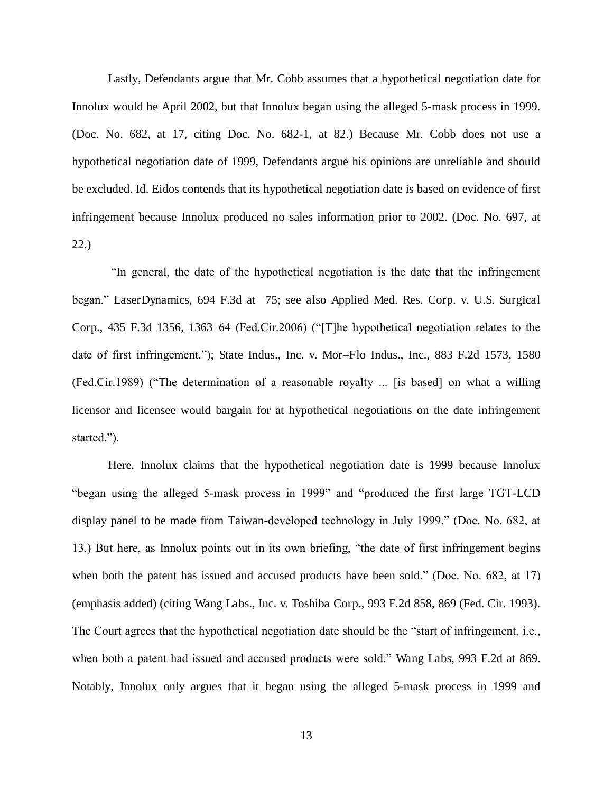Lastly, Defendants argue that Mr. Cobb assumes that a hypothetical negotiation date for Innolux would be April 2002, but that Innolux began using the alleged 5-mask process in 1999. (Doc. No. 682, at 17, citing Doc. No. 682-1, at 82.) Because Mr. Cobb does not use a hypothetical negotiation date of 1999, Defendants argue his opinions are unreliable and should be excluded. Id. Eidos contends that its hypothetical negotiation date is based on evidence of first infringement because Innolux produced no sales information prior to 2002. (Doc. No. 697, at 22.)

"In general, the date of the hypothetical negotiation is the date that the infringement began." LaserDynamics, 694 F.3d at 75; see also Applied Med. Res. Corp. v. U.S. Surgical Corp., 435 F.3d 1356, 1363–64 (Fed.Cir.2006) ("[T]he hypothetical negotiation relates to the date of first infringement."); State Indus., Inc. v. Mor*–*Flo Indus., Inc., 883 F.2d 1573, 1580 (Fed.Cir.1989) ("The determination of a reasonable royalty ... [is based] on what a willing licensor and licensee would bargain for at hypothetical negotiations on the date infringement started.").

Here, Innolux claims that the hypothetical negotiation date is 1999 because Innolux "began using the alleged 5-mask process in 1999" and "produced the first large TGT-LCD display panel to be made from Taiwan-developed technology in July 1999." (Doc. No. 682, at 13.) But here, as Innolux points out in its own briefing, "the date of first infringement begins when both the patent has issued and accused products have been sold." (Doc. No. 682, at 17) (emphasis added) (citing Wang Labs., Inc. v. Toshiba Corp., 993 F.2d 858, 869 (Fed. Cir. 1993). The Court agrees that the hypothetical negotiation date should be the "start of infringement, i.e., when both a patent had issued and accused products were sold." Wang Labs, 993 F.2d at 869. Notably, Innolux only argues that it began using the alleged 5-mask process in 1999 and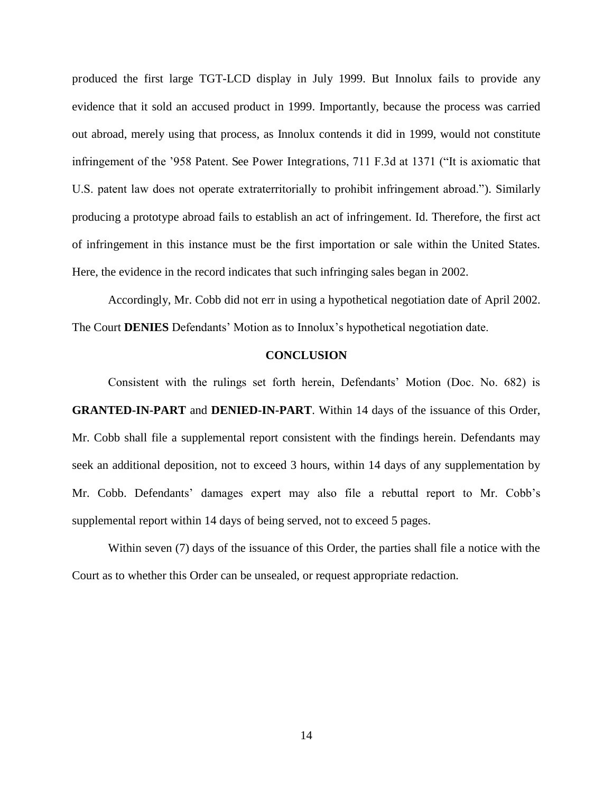produced the first large TGT-LCD display in July 1999. But Innolux fails to provide any evidence that it sold an accused product in 1999. Importantly, because the process was carried out abroad, merely using that process, as Innolux contends it did in 1999, would not constitute infringement of the '958 Patent. See Power Integrations, 711 F.3d at 1371 ("It is axiomatic that U.S. patent law does not operate extraterritorially to prohibit infringement abroad."). Similarly producing a prototype abroad fails to establish an act of infringement. Id. Therefore, the first act of infringement in this instance must be the first importation or sale within the United States. Here, the evidence in the record indicates that such infringing sales began in 2002.

Accordingly, Mr. Cobb did not err in using a hypothetical negotiation date of April 2002. The Court **DENIES** Defendants' Motion as to Innolux's hypothetical negotiation date.

## **CONCLUSION**

Consistent with the rulings set forth herein, Defendants' Motion (Doc. No. 682) is **GRANTED-IN-PART** and **DENIED-IN-PART**. Within 14 days of the issuance of this Order, Mr. Cobb shall file a supplemental report consistent with the findings herein. Defendants may seek an additional deposition, not to exceed 3 hours, within 14 days of any supplementation by Mr. Cobb. Defendants' damages expert may also file a rebuttal report to Mr. Cobb's supplemental report within 14 days of being served, not to exceed 5 pages.

Within seven (7) days of the issuance of this Order, the parties shall file a notice with the Court as to whether this Order can be unsealed, or request appropriate redaction.